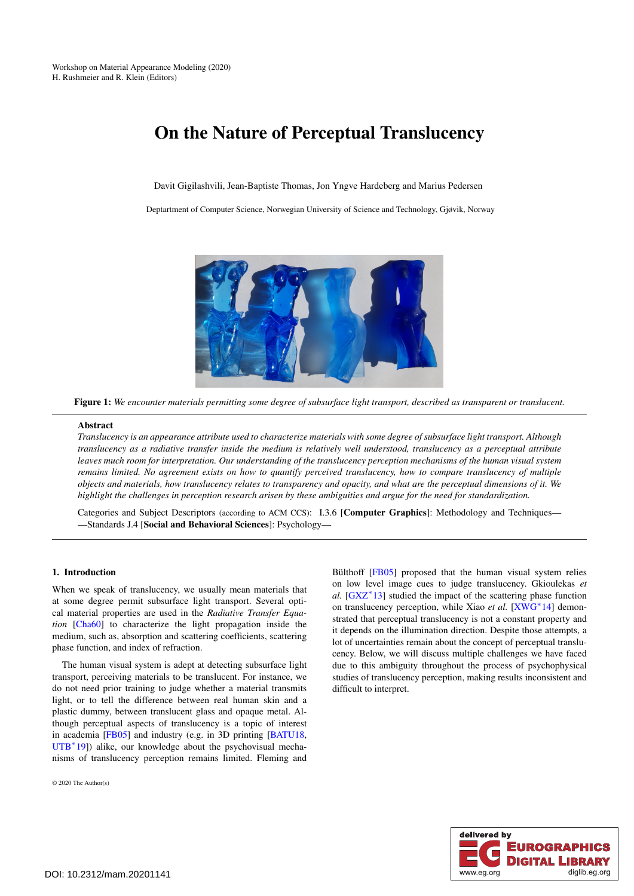# <span id="page-0-1"></span>On the Nature of Perceptual Translucency

Davit Gigilashvili, Jean-Baptiste Thomas, Jon Yngve Hardeberg and Marius Pedersen

Deptartment of Computer Science, Norwegian University of Science and Technology, Gjøvik, Norway



Figure 1: *We encounter materials permitting some degree of subsurface light transport, described as transparent or translucent.*

## <span id="page-0-0"></span>Abstract

*Translucency is an appearance attribute used to characterize materials with some degree of subsurface light transport. Although translucency as a radiative transfer inside the medium is relatively well understood, translucency as a perceptual attribute leaves much room for interpretation. Our understanding of the translucency perception mechanisms of the human visual system remains limited. No agreement exists on how to quantify perceived translucency, how to compare translucency of multiple objects and materials, how translucency relates to transparency and opacity, and what are the perceptual dimensions of it. We highlight the challenges in perception research arisen by these ambiguities and argue for the need for standardization.*

Categories and Subject Descriptors (according to ACM CCS): I.3.6 [Computer Graphics]: Methodology and Techniques— —Standards J.4 [Social and Behavioral Sciences]: Psychology—

## 1. Introduction

When we speak of translucency, we usually mean materials that at some degree permit subsurface light transport. Several optical material properties are used in the *Radiative Transfer Equation* [\[Cha60\]](#page-3-0) to characterize the light propagation inside the medium, such as, absorption and scattering coefficients, scattering phase function, and index of refraction.

The human visual system is adept at detecting subsurface light transport, perceiving materials to be translucent. For instance, we do not need prior training to judge whether a material transmits light, or to tell the difference between real human skin and a plastic dummy, between translucent glass and opaque metal. Although perceptual aspects of translucency is a topic of interest in academia [\[FB05\]](#page-3-1) and industry (e.g. in 3D printing [\[BATU18,](#page-3-2) [UTB](#page-3-3)<sup>\*</sup>19]) alike, our knowledge about the psychovisual mechanisms of translucency perception remains limited. Fleming and

© 2020 The Author(s)

Bülthoff [\[FB05\]](#page-3-1) proposed that the human visual system relies on low level image cues to judge translucency. Gkioulekas *et* al. [\[GXZ](#page-3-4)<sup>\*</sup>13] studied the impact of the scattering phase function on translucency perception, while Xiao et al. [\[XWG](#page-3-5)<sup>∗</sup>14] demonstrated that perceptual translucency is not a constant property and it depends on the illumination direction. Despite those attempts, a lot of uncertainties remain about the concept of perceptual translucency. Below, we will discuss multiple challenges we have faced due to this ambiguity throughout the process of psychophysical studies of translucency perception, making results inconsistent and difficult to interpret.

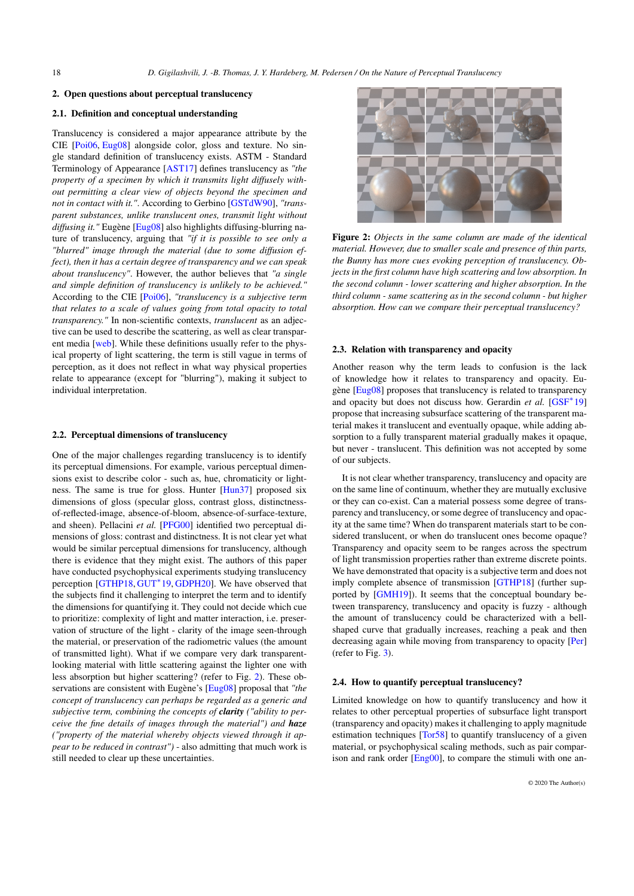#### <span id="page-1-1"></span>2. Open questions about perceptual translucency

# 2.1. Definition and conceptual understanding

Translucency is considered a major appearance attribute by the CIE [\[Poi06,](#page-3-6) [Eug08\]](#page-3-7) alongside color, gloss and texture. No single standard definition of translucency exists. ASTM - Standard Terminology of Appearance [\[AST17\]](#page-3-8) defines translucency as *"the property of a specimen by which it transmits light diffusely without permitting a clear view of objects beyond the specimen and not in contact with it."*. According to Gerbino [\[GSTdW90\]](#page-3-9), *"transparent substances, unlike translucent ones, transmit light without diffusing it."* Eugène [\[Eug08\]](#page-3-7) also highlights diffusing-blurring nature of translucency, arguing that *"if it is possible to see only a "blurred" image through the material (due to some diffusion effect), then it has a certain degree of transparency and we can speak about translucency"*. However, the author believes that *"a single and simple definition of translucency is unlikely to be achieved."* According to the CIE [\[Poi06\]](#page-3-6), *"translucency is a subjective term that relates to a scale of values going from total opacity to total transparency."* In non-scientific contexts, *translucent* as an adjective can be used to describe the scattering, as well as clear transparent media [\[web\]](#page-3-10). While these definitions usually refer to the physical property of light scattering, the term is still vague in terms of perception, as it does not reflect in what way physical properties relate to appearance (except for "blurring"), making it subject to individual interpretation.

#### 2.2. Perceptual dimensions of translucency

One of the major challenges regarding translucency is to identify its perceptual dimensions. For example, various perceptual dimensions exist to describe color - such as, hue, chromaticity or lightness. The same is true for gloss. Hunter [\[Hun37\]](#page-3-11) proposed six dimensions of gloss (specular gloss, contrast gloss, distinctnessof-reflected-image, absence-of-bloom, absence-of-surface-texture, and sheen). Pellacini *et al.* [\[PFG00\]](#page-3-12) identified two perceptual dimensions of gloss: contrast and distinctness. It is not clear yet what would be similar perceptual dimensions for translucency, although there is evidence that they might exist. The authors of this paper have conducted psychophysical experiments studying translucency perception [\[GTHP18,](#page-3-13) [GUT](#page-3-14)<sup>\*</sup>19, [GDPH20\]](#page-3-15). We have observed that the subjects find it challenging to interpret the term and to identify the dimensions for quantifying it. They could not decide which cue to prioritize: complexity of light and matter interaction, i.e. preservation of structure of the light - clarity of the image seen-through the material, or preservation of the radiometric values (the amount of transmitted light). What if we compare very dark transparentlooking material with little scattering against the lighter one with less absorption but higher scattering? (refer to Fig. [2\)](#page-1-0). These observations are consistent with Eugène's [\[Eug08\]](#page-3-7) proposal that *"the concept of translucency can perhaps be regarded as a generic and subjective term, combining the concepts of clarity ("ability to perceive the fine details of images through the material") and haze ("property of the material whereby objects viewed through it appear to be reduced in contrast")* - also admitting that much work is still needed to clear up these uncertainties.



Figure 2: *Objects in the same column are made of the identical material. However, due to smaller scale and presence of thin parts, the Bunny has more cues evoking perception of translucency. Objects in the first column have high scattering and low absorption. In the second column - lower scattering and higher absorption. In the third column - same scattering as in the second column - but higher absorption. How can we compare their perceptual translucency?*

#### <span id="page-1-0"></span>2.3. Relation with transparency and opacity

Another reason why the term leads to confusion is the lack of knowledge how it relates to transparency and opacity. Eugène [\[Eug08\]](#page-3-7) proposes that translucency is related to transparency and opacity but does not discuss how. Gerardin et al. [\[GSF](#page-3-16)<sup>\*</sup>19] propose that increasing subsurface scattering of the transparent material makes it translucent and eventually opaque, while adding absorption to a fully transparent material gradually makes it opaque, but never - translucent. This definition was not accepted by some of our subjects.

It is not clear whether transparency, translucency and opacity are on the same line of continuum, whether they are mutually exclusive or they can co-exist. Can a material possess some degree of transparency and translucency, or some degree of translucency and opacity at the same time? When do transparent materials start to be considered translucent, or when do translucent ones become opaque? Transparency and opacity seem to be ranges across the spectrum of light transmission properties rather than extreme discrete points. We have demonstrated that opacity is a subjective term and does not imply complete absence of transmission [\[GTHP18\]](#page-3-13) (further supported by [\[GMH19\]](#page-3-17)). It seems that the conceptual boundary between transparency, translucency and opacity is fuzzy - although the amount of translucency could be characterized with a bellshaped curve that gradually increases, reaching a peak and then decreasing again while moving from transparency to opacity [\[Per\]](#page-3-18) (refer to Fig. [3\)](#page-2-0).

# 2.4. How to quantify perceptual translucency?

Limited knowledge on how to quantify translucency and how it relates to other perceptual properties of subsurface light transport (transparency and opacity) makes it challenging to apply magnitude estimation techniques [\[Tor58\]](#page-3-19) to quantify translucency of a given material, or psychophysical scaling methods, such as pair compar-ison and rank order [\[Eng00\]](#page-3-20), to compare the stimuli with one an-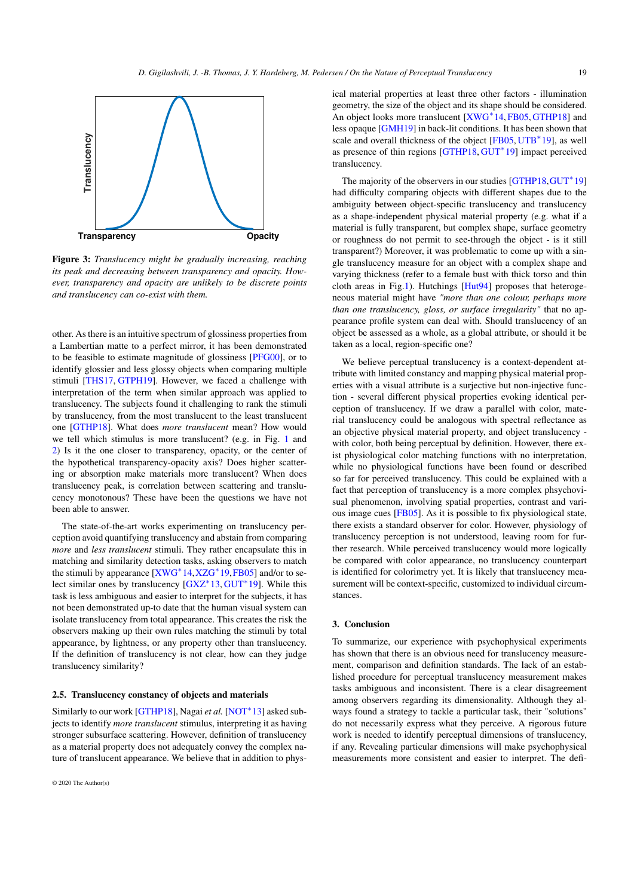<span id="page-2-1"></span>

<span id="page-2-0"></span>Figure 3: *Translucency might be gradually increasing, reaching its peak and decreasing between transparency and opacity. However, transparency and opacity are unlikely to be discrete points and translucency can co-exist with them.*

other. As there is an intuitive spectrum of glossiness properties from a Lambertian matte to a perfect mirror, it has been demonstrated to be feasible to estimate magnitude of glossiness [\[PFG00\]](#page-3-12), or to identify glossier and less glossy objects when comparing multiple stimuli [\[THS17,](#page-3-21) [GTPH19\]](#page-3-22). However, we faced a challenge with interpretation of the term when similar approach was applied to translucency. The subjects found it challenging to rank the stimuli by translucency, from the most translucent to the least translucent one [\[GTHP18\]](#page-3-13). What does *more translucent* mean? How would we tell which stimulus is more translucent? (e.g. in Fig. [1](#page-0-0) and [2\)](#page-1-0) Is it the one closer to transparency, opacity, or the center of the hypothetical transparency-opacity axis? Does higher scattering or absorption make materials more translucent? When does translucency peak, is correlation between scattering and translucency monotonous? These have been the questions we have not been able to answer.

The state-of-the-art works experimenting on translucency perception avoid quantifying translucency and abstain from comparing *more* and *less translucent* stimuli. They rather encapsulate this in matching and similarity detection tasks, asking observers to match the stimuli by appearance [\[XWG](#page-3-5)<sup>\*</sup>14,[XZG](#page-3-23)<sup>\*</sup>19,[FB05\]](#page-3-1) and/or to se-lect similar ones by translucency [\[GXZ](#page-3-4)<sup>\*</sup>13, [GUT](#page-3-14)<sup>\*</sup>19]. While this task is less ambiguous and easier to interpret for the subjects, it has not been demonstrated up-to date that the human visual system can isolate translucency from total appearance. This creates the risk the observers making up their own rules matching the stimuli by total appearance, by lightness, or any property other than translucency. If the definition of translucency is not clear, how can they judge translucency similarity?

## 2.5. Translucency constancy of objects and materials

Similarly to our work [\[GTHP18\]](#page-3-13), Nagai et al. [\[NOT](#page-3-24)<sup>\*</sup>13] asked subjects to identify *more translucent* stimulus, interpreting it as having stronger subsurface scattering. However, definition of translucency as a material property does not adequately convey the complex nature of translucent appearance. We believe that in addition to physical material properties at least three other factors - illumination geometry, the size of the object and its shape should be considered. An object looks more translucent [\[XWG](#page-3-5)<sup>\*</sup>14, [FB05,](#page-3-1) [GTHP18\]](#page-3-13) and less opaque [\[GMH19\]](#page-3-17) in back-lit conditions. It has been shown that scale and overall thickness of the object [\[FB05,](#page-3-1) [UTB](#page-3-3)<sup>\*</sup>19], as well as presence of thin regions [\[GTHP18,](#page-3-13) [GUT](#page-3-14)<sup>\*</sup>19] impact perceived translucency.

The majority of the observers in our studies [\[GTHP18,](#page-3-13) [GUT](#page-3-14)<sup>\*</sup>19] had difficulty comparing objects with different shapes due to the ambiguity between object-specific translucency and translucency as a shape-independent physical material property (e.g. what if a material is fully transparent, but complex shape, surface geometry or roughness do not permit to see-through the object - is it still transparent?) Moreover, it was problematic to come up with a single translucency measure for an object with a complex shape and varying thickness (refer to a female bust with thick torso and thin cloth areas in Fig[.1\)](#page-0-0). Hutchings [\[Hut94\]](#page-3-25) proposes that heterogeneous material might have *"more than one colour, perhaps more than one translucency, gloss, or surface irregularity"* that no appearance profile system can deal with. Should translucency of an object be assessed as a whole, as a global attribute, or should it be taken as a local, region-specific one?

We believe perceptual translucency is a context-dependent attribute with limited constancy and mapping physical material properties with a visual attribute is a surjective but non-injective function - several different physical properties evoking identical perception of translucency. If we draw a parallel with color, material translucency could be analogous with spectral reflectance as an objective physical material property, and object translucency with color, both being perceptual by definition. However, there exist physiological color matching functions with no interpretation, while no physiological functions have been found or described so far for perceived translucency. This could be explained with a fact that perception of translucency is a more complex phsychovisual phenomenon, involving spatial properties, contrast and various image cues [\[FB05\]](#page-3-1). As it is possible to fix physiological state, there exists a standard observer for color. However, physiology of translucency perception is not understood, leaving room for further research. While perceived translucency would more logically be compared with color appearance, no translucency counterpart is identified for colorimetry yet. It is likely that translucency measurement will be context-specific, customized to individual circumstances.

# 3. Conclusion

To summarize, our experience with psychophysical experiments has shown that there is an obvious need for translucency measurement, comparison and definition standards. The lack of an established procedure for perceptual translucency measurement makes tasks ambiguous and inconsistent. There is a clear disagreement among observers regarding its dimensionality. Although they always found a strategy to tackle a particular task, their "solutions" do not necessarily express what they perceive. A rigorous future work is needed to identify perceptual dimensions of translucency, if any. Revealing particular dimensions will make psychophysical measurements more consistent and easier to interpret. The defi-